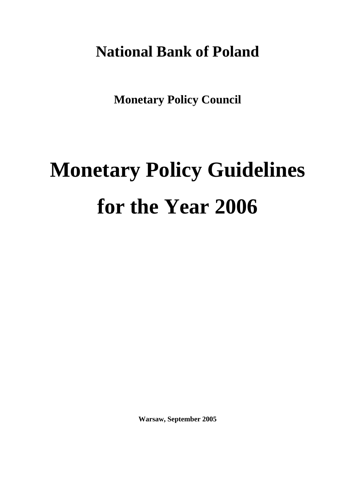## **National Bank of Poland**

**Monetary Policy Council** 

# **Monetary Policy Guidelines for the Year 2006**

**Warsaw, September 2005**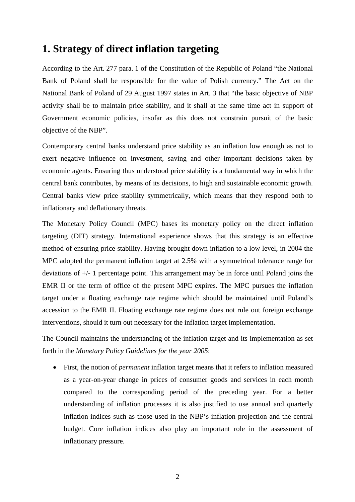## **1. Strategy of direct inflation targeting**

According to the Art. 277 para. 1 of the Constitution of the Republic of Poland "the National Bank of Poland shall be responsible for the value of Polish currency." The Act on the National Bank of Poland of 29 August 1997 states in Art. 3 that "the basic objective of NBP activity shall be to maintain price stability, and it shall at the same time act in support of Government economic policies, insofar as this does not constrain pursuit of the basic objective of the NBP".

Contemporary central banks understand price stability as an inflation low enough as not to exert negative influence on investment, saving and other important decisions taken by economic agents. Ensuring thus understood price stability is a fundamental way in which the central bank contributes, by means of its decisions, to high and sustainable economic growth. Central banks view price stability symmetrically, which means that they respond both to inflationary and deflationary threats.

The Monetary Policy Council (MPC) bases its monetary policy on the direct inflation targeting (DIT) strategy. International experience shows that this strategy is an effective method of ensuring price stability. Having brought down inflation to a low level, in 2004 the MPC adopted the permanent inflation target at 2.5% with a symmetrical tolerance range for deviations of +/- 1 percentage point. This arrangement may be in force until Poland joins the EMR II or the term of office of the present MPC expires. The MPC pursues the inflation target under a floating exchange rate regime which should be maintained until Poland's accession to the EMR II. Floating exchange rate regime does not rule out foreign exchange interventions, should it turn out necessary for the inflation target implementation.

The Council maintains the understanding of the inflation target and its implementation as set forth in the *Monetary Policy Guidelines for the year 2005*:

• First, the notion of *permanent* inflation target means that it refers to inflation measured as a year-on-year change in prices of consumer goods and services in each month compared to the corresponding period of the preceding year. For a better understanding of inflation processes it is also justified to use annual and quarterly inflation indices such as those used in the NBP's inflation projection and the central budget. Core inflation indices also play an important role in the assessment of inflationary pressure.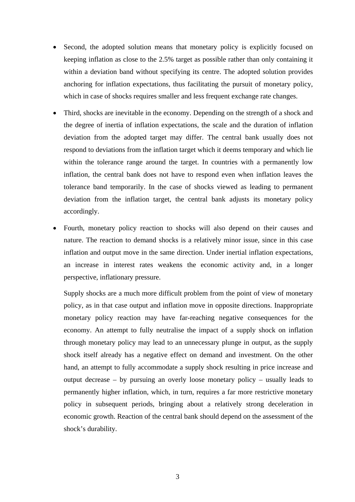- Second, the adopted solution means that monetary policy is explicitly focused on keeping inflation as close to the 2.5% target as possible rather than only containing it within a deviation band without specifying its centre. The adopted solution provides anchoring for inflation expectations, thus facilitating the pursuit of monetary policy, which in case of shocks requires smaller and less frequent exchange rate changes.
- Third, shocks are inevitable in the economy. Depending on the strength of a shock and the degree of inertia of inflation expectations, the scale and the duration of inflation deviation from the adopted target may differ. The central bank usually does not respond to deviations from the inflation target which it deems temporary and which lie within the tolerance range around the target. In countries with a permanently low inflation, the central bank does not have to respond even when inflation leaves the tolerance band temporarily. In the case of shocks viewed as leading to permanent deviation from the inflation target, the central bank adjusts its monetary policy accordingly.
- Fourth, monetary policy reaction to shocks will also depend on their causes and nature. The reaction to demand shocks is a relatively minor issue, since in this case inflation and output move in the same direction. Under inertial inflation expectations, an increase in interest rates weakens the economic activity and, in a longer perspective, inflationary pressure.

Supply shocks are a much more difficult problem from the point of view of monetary policy, as in that case output and inflation move in opposite directions. Inappropriate monetary policy reaction may have far-reaching negative consequences for the economy. An attempt to fully neutralise the impact of a supply shock on inflation through monetary policy may lead to an unnecessary plunge in output, as the supply shock itself already has a negative effect on demand and investment. On the other hand, an attempt to fully accommodate a supply shock resulting in price increase and output decrease – by pursuing an overly loose monetary policy – usually leads to permanently higher inflation, which, in turn, requires a far more restrictive monetary policy in subsequent periods, bringing about a relatively strong deceleration in economic growth. Reaction of the central bank should depend on the assessment of the shock's durability.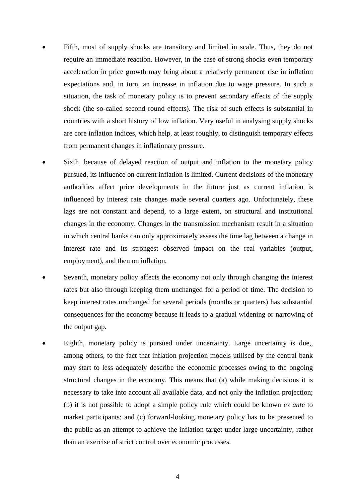- Fifth, most of supply shocks are transitory and limited in scale. Thus, they do not require an immediate reaction. However, in the case of strong shocks even temporary acceleration in price growth may bring about a relatively permanent rise in inflation expectations and, in turn, an increase in inflation due to wage pressure. In such a situation, the task of monetary policy is to prevent secondary effects of the supply shock (the so-called second round effects). The risk of such effects is substantial in countries with a short history of low inflation. Very useful in analysing supply shocks are core inflation indices, which help, at least roughly, to distinguish temporary effects from permanent changes in inflationary pressure.
- Sixth, because of delayed reaction of output and inflation to the monetary policy pursued, its influence on current inflation is limited. Current decisions of the monetary authorities affect price developments in the future just as current inflation is influenced by interest rate changes made several quarters ago. Unfortunately, these lags are not constant and depend, to a large extent, on structural and institutional changes in the economy. Changes in the transmission mechanism result in a situation in which central banks can only approximately assess the time lag between a change in interest rate and its strongest observed impact on the real variables (output, employment), and then on inflation.
- Seventh, monetary policy affects the economy not only through changing the interest rates but also through keeping them unchanged for a period of time. The decision to keep interest rates unchanged for several periods (months or quarters) has substantial consequences for the economy because it leads to a gradual widening or narrowing of the output gap.
- Eighth, monetary policy is pursued under uncertainty. Large uncertainty is due,, among others, to the fact that inflation projection models utilised by the central bank may start to less adequately describe the economic processes owing to the ongoing structural changes in the economy. This means that (a) while making decisions it is necessary to take into account all available data, and not only the inflation projection; (b) it is not possible to adopt a simple policy rule which could be known *ex ante* to market participants; and (c) forward-looking monetary policy has to be presented to the public as an attempt to achieve the inflation target under large uncertainty, rather than an exercise of strict control over economic processes.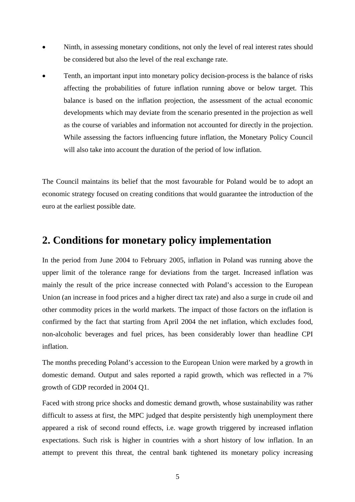- Ninth, in assessing monetary conditions, not only the level of real interest rates should be considered but also the level of the real exchange rate.
- Tenth, an important input into monetary policy decision-process is the balance of risks affecting the probabilities of future inflation running above or below target. This balance is based on the inflation projection, the assessment of the actual economic developments which may deviate from the scenario presented in the projection as well as the course of variables and information not accounted for directly in the projection. While assessing the factors influencing future inflation, the Monetary Policy Council will also take into account the duration of the period of low inflation.

The Council maintains its belief that the most favourable for Poland would be to adopt an economic strategy focused on creating conditions that would guarantee the introduction of the euro at the earliest possible date.

## **2. Conditions for monetary policy implementation**

In the period from June 2004 to February 2005, inflation in Poland was running above the upper limit of the tolerance range for deviations from the target. Increased inflation was mainly the result of the price increase connected with Poland's accession to the European Union (an increase in food prices and a higher direct tax rate) and also a surge in crude oil and other commodity prices in the world markets. The impact of those factors on the inflation is confirmed by the fact that starting from April 2004 the net inflation, which excludes food, non-alcoholic beverages and fuel prices, has been considerably lower than headline CPI inflation.

The months preceding Poland's accession to the European Union were marked by a growth in domestic demand. Output and sales reported a rapid growth, which was reflected in a 7% growth of GDP recorded in 2004 Q1.

Faced with strong price shocks and domestic demand growth, whose sustainability was rather difficult to assess at first, the MPC judged that despite persistently high unemployment there appeared a risk of second round effects, i.e. wage growth triggered by increased inflation expectations. Such risk is higher in countries with a short history of low inflation. In an attempt to prevent this threat, the central bank tightened its monetary policy increasing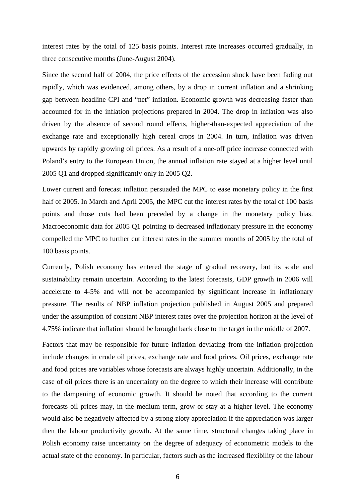interest rates by the total of 125 basis points. Interest rate increases occurred gradually, in three consecutive months (June-August 2004).

Since the second half of 2004, the price effects of the accession shock have been fading out rapidly, which was evidenced, among others, by a drop in current inflation and a shrinking gap between headline CPI and "net" inflation. Economic growth was decreasing faster than accounted for in the inflation projections prepared in 2004. The drop in inflation was also driven by the absence of second round effects, higher-than-expected appreciation of the exchange rate and exceptionally high cereal crops in 2004. In turn, inflation was driven upwards by rapidly growing oil prices. As a result of a one-off price increase connected with Poland's entry to the European Union, the annual inflation rate stayed at a higher level until 2005 Q1 and dropped significantly only in 2005 Q2.

Lower current and forecast inflation persuaded the MPC to ease monetary policy in the first half of 2005. In March and April 2005, the MPC cut the interest rates by the total of 100 basis points and those cuts had been preceded by a change in the monetary policy bias. Macroeconomic data for 2005 Q1 pointing to decreased inflationary pressure in the economy compelled the MPC to further cut interest rates in the summer months of 2005 by the total of 100 basis points.

Currently, Polish economy has entered the stage of gradual recovery, but its scale and sustainability remain uncertain. According to the latest forecasts, GDP growth in 2006 will accelerate to 4-5% and will not be accompanied by significant increase in inflationary pressure. The results of NBP inflation projection published in August 2005 and prepared under the assumption of constant NBP interest rates over the projection horizon at the level of 4.75% indicate that inflation should be brought back close to the target in the middle of 2007.

Factors that may be responsible for future inflation deviating from the inflation projection include changes in crude oil prices, exchange rate and food prices. Oil prices, exchange rate and food prices are variables whose forecasts are always highly uncertain. Additionally, in the case of oil prices there is an uncertainty on the degree to which their increase will contribute to the dampening of economic growth. It should be noted that according to the current forecasts oil prices may, in the medium term, grow or stay at a higher level. The economy would also be negatively affected by a strong zloty appreciation if the appreciation was larger then the labour productivity growth. At the same time, structural changes taking place in Polish economy raise uncertainty on the degree of adequacy of econometric models to the actual state of the economy. In particular, factors such as the increased flexibility of the labour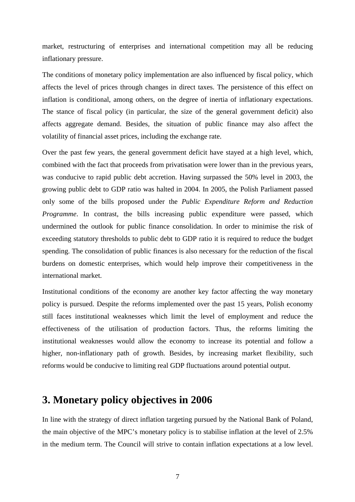market, restructuring of enterprises and international competition may all be reducing inflationary pressure.

The conditions of monetary policy implementation are also influenced by fiscal policy, which affects the level of prices through changes in direct taxes. The persistence of this effect on inflation is conditional, among others, on the degree of inertia of inflationary expectations. The stance of fiscal policy (in particular, the size of the general government deficit) also affects aggregate demand. Besides, the situation of public finance may also affect the volatility of financial asset prices, including the exchange rate.

Over the past few years, the general government deficit have stayed at a high level, which, combined with the fact that proceeds from privatisation were lower than in the previous years, was conducive to rapid public debt accretion. Having surpassed the 50% level in 2003, the growing public debt to GDP ratio was halted in 2004. In 2005, the Polish Parliament passed only some of the bills proposed under the *Public Expenditure Reform and Reduction Programme*. In contrast, the bills increasing public expenditure were passed, which undermined the outlook for public finance consolidation. In order to minimise the risk of exceeding statutory thresholds to public debt to GDP ratio it is required to reduce the budget spending. The consolidation of public finances is also necessary for the reduction of the fiscal burdens on domestic enterprises, which would help improve their competitiveness in the international market.

Institutional conditions of the economy are another key factor affecting the way monetary policy is pursued. Despite the reforms implemented over the past 15 years, Polish economy still faces institutional weaknesses which limit the level of employment and reduce the effectiveness of the utilisation of production factors. Thus, the reforms limiting the institutional weaknesses would allow the economy to increase its potential and follow a higher, non-inflationary path of growth. Besides, by increasing market flexibility, such reforms would be conducive to limiting real GDP fluctuations around potential output.

## **3. Monetary policy objectives in 2006**

In line with the strategy of direct inflation targeting pursued by the National Bank of Poland, the main objective of the MPC's monetary policy is to stabilise inflation at the level of 2.5% in the medium term. The Council will strive to contain inflation expectations at a low level.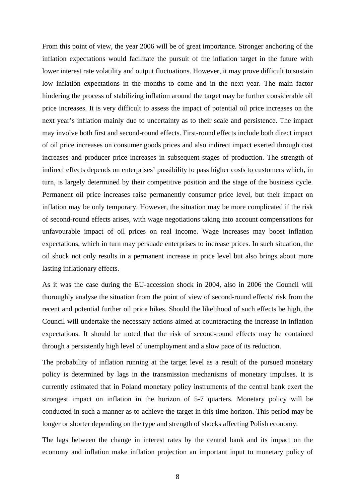From this point of view, the year 2006 will be of great importance. Stronger anchoring of the inflation expectations would facilitate the pursuit of the inflation target in the future with lower interest rate volatility and output fluctuations. However, it may prove difficult to sustain low inflation expectations in the months to come and in the next year. The main factor hindering the process of stabilizing inflation around the target may be further considerable oil price increases. It is very difficult to assess the impact of potential oil price increases on the next year's inflation mainly due to uncertainty as to their scale and persistence. The impact may involve both first and second-round effects. First-round effects include both direct impact of oil price increases on consumer goods prices and also indirect impact exerted through cost increases and producer price increases in subsequent stages of production. The strength of indirect effects depends on enterprises' possibility to pass higher costs to customers which, in turn, is largely determined by their competitive position and the stage of the business cycle. Permanent oil price increases raise permanently consumer price level, but their impact on inflation may be only temporary. However, the situation may be more complicated if the risk of second-round effects arises, with wage negotiations taking into account compensations for unfavourable impact of oil prices on real income. Wage increases may boost inflation expectations, which in turn may persuade enterprises to increase prices. In such situation, the oil shock not only results in a permanent increase in price level but also brings about more lasting inflationary effects.

As it was the case during the EU-accession shock in 2004, also in 2006 the Council will thoroughly analyse the situation from the point of view of second-round effects' risk from the recent and potential further oil price hikes. Should the likelihood of such effects be high, the Council will undertake the necessary actions aimed at counteracting the increase in inflation expectations. It should be noted that the risk of second-round effects may be contained through a persistently high level of unemployment and a slow pace of its reduction.

The probability of inflation running at the target level as a result of the pursued monetary policy is determined by lags in the transmission mechanisms of monetary impulses. It is currently estimated that in Poland monetary policy instruments of the central bank exert the strongest impact on inflation in the horizon of 5-7 quarters. Monetary policy will be conducted in such a manner as to achieve the target in this time horizon. This period may be longer or shorter depending on the type and strength of shocks affecting Polish economy.

The lags between the change in interest rates by the central bank and its impact on the economy and inflation make inflation projection an important input to monetary policy of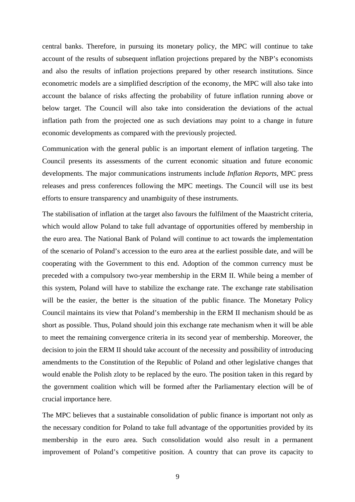central banks. Therefore, in pursuing its monetary policy, the MPC will continue to take account of the results of subsequent inflation projections prepared by the NBP's economists and also the results of inflation projections prepared by other research institutions. Since econometric models are a simplified description of the economy, the MPC will also take into account the balance of risks affecting the probability of future inflation running above or below target. The Council will also take into consideration the deviations of the actual inflation path from the projected one as such deviations may point to a change in future economic developments as compared with the previously projected.

Communication with the general public is an important element of inflation targeting. The Council presents its assessments of the current economic situation and future economic developments. The major communications instruments include *Inflation Reports*, MPC press releases and press conferences following the MPC meetings. The Council will use its best efforts to ensure transparency and unambiguity of these instruments.

The stabilisation of inflation at the target also favours the fulfilment of the Maastricht criteria, which would allow Poland to take full advantage of opportunities offered by membership in the euro area. The National Bank of Poland will continue to act towards the implementation of the scenario of Poland's accession to the euro area at the earliest possible date, and will be cooperating with the Government to this end. Adoption of the common currency must be preceded with a compulsory two-year membership in the ERM II. While being a member of this system, Poland will have to stabilize the exchange rate. The exchange rate stabilisation will be the easier, the better is the situation of the public finance. The Monetary Policy Council maintains its view that Poland's membership in the ERM II mechanism should be as short as possible. Thus, Poland should join this exchange rate mechanism when it will be able to meet the remaining convergence criteria in its second year of membership. Moreover, the decision to join the ERM II should take account of the necessity and possibility of introducing amendments to the Constitution of the Republic of Poland and other legislative changes that would enable the Polish zloty to be replaced by the euro. The position taken in this regard by the government coalition which will be formed after the Parliamentary election will be of crucial importance here.

The MPC believes that a sustainable consolidation of public finance is important not only as the necessary condition for Poland to take full advantage of the opportunities provided by its membership in the euro area. Such consolidation would also result in a permanent improvement of Poland's competitive position. A country that can prove its capacity to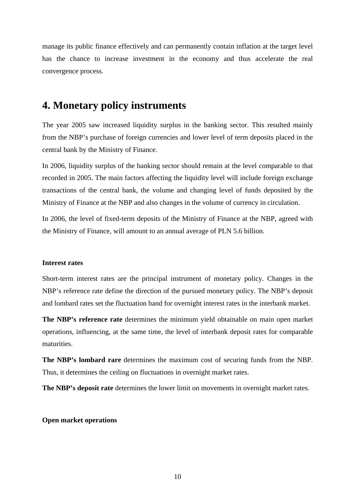manage its public finance effectively and can permanently contain inflation at the target level has the chance to increase investment in the economy and thus accelerate the real convergence process.

## **4. Monetary policy instruments**

The year 2005 saw increased liquidity surplus in the banking sector. This resulted mainly from the NBP's purchase of foreign currencies and lower level of term deposits placed in the central bank by the Ministry of Finance.

In 2006, liquidity surplus of the banking sector should remain at the level comparable to that recorded in 2005. The main factors affecting the liquidity level will include foreign exchange transactions of the central bank, the volume and changing level of funds deposited by the Ministry of Finance at the NBP and also changes in the volume of currency in circulation.

In 2006, the level of fixed-term deposits of the Ministry of Finance at the NBP, agreed with the Ministry of Finance, will amount to an annual average of PLN 5.6 billion.

#### **Interest rates**

Short-term interest rates are the principal instrument of monetary policy. Changes in the NBP's reference rate define the direction of the pursued monetary policy. The NBP's deposit and lombard rates set the fluctuation band for overnight interest rates in the interbank market.

**The NBP's reference rate** determines the minimum yield obtainable on main open market operations, influencing, at the same time, the level of interbank deposit rates for comparable maturities.

**The NBP's lombard rare** determines the maximum cost of securing funds from the NBP. Thus, it determines the ceiling on fluctuations in overnight market rates.

**The NBP's deposit rate** determines the lower limit on movements in overnight market rates.

#### **Open market operations**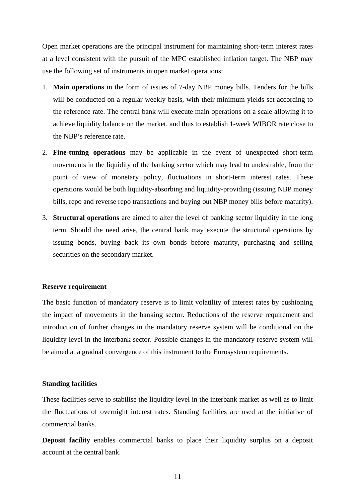Open market operations are the principal instrument for maintaining short-term interest rates at a level consistent with the pursuit of the MPC established inflation target. The NBP may use the following set of instruments in open market operations:

- 1. **Main operations** in the form of issues of 7-day NBP money bills. Tenders for the bills will be conducted on a regular weekly basis, with their minimum yields set according to the reference rate. The central bank will execute main operations on a scale allowing it to achieve liquidity balance on the market, and thus to establish 1-week WIBOR rate close to the NBP's reference rate.
- 2. **Fine-tuning operations** may be applicable in the event of unexpected short-term movements in the liquidity of the banking sector which may lead to undesirable, from the point of view of monetary policy, fluctuations in short-term interest rates. These operations would be both liquidity-absorbing and liquidity-providing (issuing NBP money bills, repo and reverse repo transactions and buying out NBP money bills before maturity).
- 3. **Structural operations** are aimed to alter the level of banking sector liquidity in the long term. Should the need arise, the central bank may execute the structural operations by issuing bonds, buying back its own bonds before maturity, purchasing and selling securities on the secondary market.

#### **Reserve requirement**

The basic function of mandatory reserve is to limit volatility of interest rates by cushioning the impact of movements in the banking sector. Reductions of the reserve requirement and introduction of further changes in the mandatory reserve system will be conditional on the liquidity level in the interbank sector. Possible changes in the mandatory reserve system will be aimed at a gradual convergence of this instrument to the Eurosystem requirements.

#### **Standing facilities**

These facilities serve to stabilise the liquidity level in the interbank market as well as to limit the fluctuations of overnight interest rates. Standing facilities are used at the initiative of commercial banks.

**Deposit facility** enables commercial banks to place their liquidity surplus on a deposit account at the central bank.